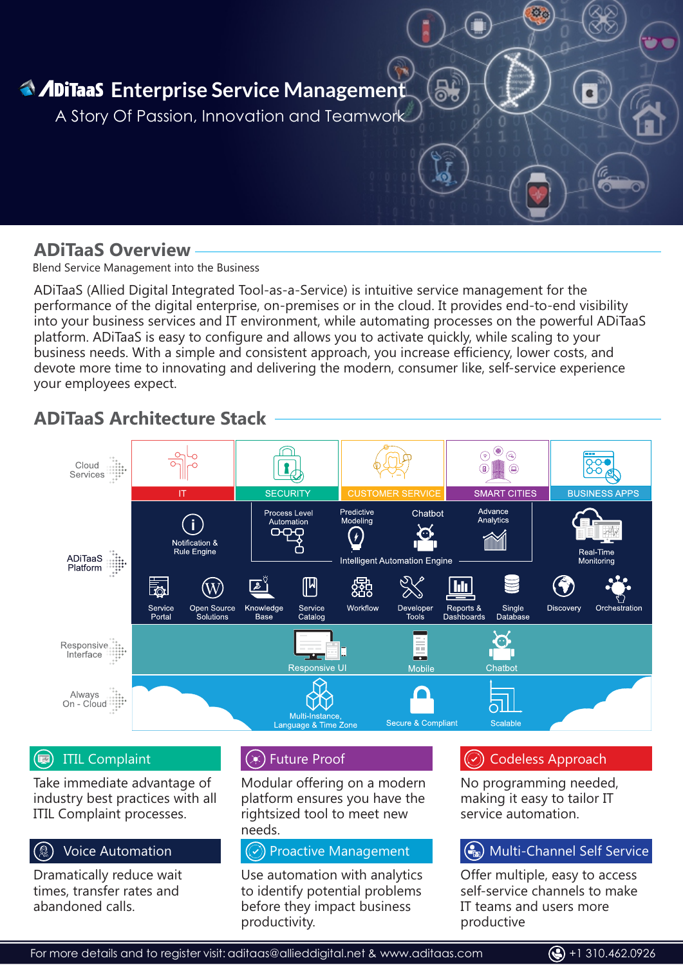

## **ADiTaaS Overview**

Blend Service Management into the Business

ADiTaaS (Allied Digital Integrated Tool-as-a-Service) is intuitive service management for the performance of the digital enterprise, on-premises or in the cloud. It provides end-to-end visibility into your business services and IT environment, while automating processes on the powerful ADiTaaS platform. ADiTaaS is easy to configure and allows you to activate quickly, while scaling to your business needs. With a simple and consistent approach, you increase efficiency, lower costs, and devote more time to innovating and delivering the modern, consumer like, self-service experience your employees expect.

# **ADiTaaS Architecture Stack**



#### $(\mathbf{E})$ ITIL Complaint

Take immediate advantage of industry best practices with all ITIL Complaint processes.

#### Voice Automation

Dramatically reduce wait times, transfer rates and abandoned calls.

#### $(x)$  Future Proof

Modular offering on a modern platform ensures you have the rightsized tool to meet new needs.

#### $(\heartsuit)$  Proactive Management

Use automation with analytics to identify potential problems before they impact business productivity.

For more details and to register visit:

### Codeless Approach

No programming needed, making it easy to tailor IT service automation.

#### (a) Multi-Channel Self Service

Offer multiple, easy to access self-service channels to make IT teams and users more productive